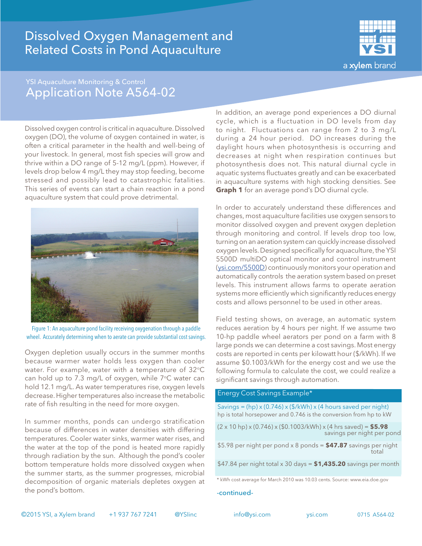## Dissolved Oxygen Management and Related Costs in Pond Aquaculture



### YSI Aquaculture Monitoring & Control Application Note A564-02

Dissolved oxygen control is critical in aquaculture. Dissolved oxygen (DO), the volume of oxygen contained in water, is often a critical parameter in the health and well-being of your livestock. In general, most fish species will grow and thrive within a DO range of 5-12 mg/L (ppm). However, if levels drop below 4 mg/L they may stop feeding, become stressed and possibly lead to catastrophic fatalities. This series of events can start a chain reaction in a pond aquaculture system that could prove detrimental.



Figure 1: An aquaculture pond facility receiving oxygenation through a paddle wheel. Accurately determining when to aerate can provide substantial cost savings.

Oxygen depletion usually occurs in the summer months because warmer water holds less oxygen than cooler water. For example, water with a temperature of  $32^{\circ}C$ can hold up to 7.3 mg/L of oxygen, while  $7^{\circ}$ C water can hold 12.1 mg/L. As water temperatures rise, oxygen levels decrease. Higher temperatures also increase the metabolic rate of fish resulting in the need for more oxygen.

In summer months, ponds can undergo stratification because of differences in water densities with differing temperatures. Cooler water sinks, warmer water rises, and the water at the top of the pond is heated more rapidly through radiation by the sun. Although the pond's cooler bottom temperature holds more dissolved oxygen when the summer starts, as the summer progresses, microbial decomposition of organic materials depletes oxygen at the pond's bottom.

In addition, an average pond experiences a DO diurnal cycle, which is a fluctuation in DO levels from day to night. Fluctuations can range from 2 to 3 mg/L during a 24 hour period. DO increases during the daylight hours when photosynthesis is occurring and decreases at night when respiration continues but photosynthesis does not. This natural diurnal cycle in aquatic systems fluctuates greatly and can be exacerbated in aquaculture systems with high stocking densities. See **Graph 1** for an average pond's DO diurnal cycle.

In order to accurately understand these differences and changes, most aquaculture facilities use oxygen sensors to monitor dissolved oxygen and prevent oxygen depletion through monitoring and control. If levels drop too low, turning on an aeration system can quickly increase dissolved oxygen levels. Designed specifically for aquaculture, the YSI 5500D multiDO optical monitor and control instrument [\(ysi.com/5500D](http://ysi.com/5500D)) continuously monitors your operation and automatically controls the aeration system based on preset levels. This instrument allows farms to operate aeration systems more efficiently which significantly reduces energy costs and allows personnel to be used in other areas.

Field testing shows, on average, an automatic system reduces aeration by 4 hours per night. If we assume two 10-hp paddle wheel aerators per pond on a farm with 8 large ponds we can determine a cost savings. Most energy costs are reported in cents per kilowatt hour (\$/kWh). If we assume \$0.1003/kWh for the energy cost and we use the following formula to calculate the cost, we could realize a significant savings through automation.

### Energy Cost Savings Example\*

 Savings = (hp) x (0.746) x (\$/kWh) x (4 hours saved per night) hp is total horsepower and 0.746 is the conversion from hp to kW

(2 x 10 hp) x (0.746) x (\$0.1003/kWh) x (4 hrs saved) = **\$5.98** savings per night per pond

\$5.98 per night per pond x 8 ponds = **\$47.87** savings per night total design of the contract of the contract of the contract of the contract of the contract of the contract of the contract of the contract of the contract of the contract of the contract of the contract of the contract o

\$47.84 per night total x 30 days = **\$1,435.20** savings per month

#### -continued-

<sup>\*</sup> kWh cost average for March 2010 was 10.03 cents. Source: www.eia.doe.gov